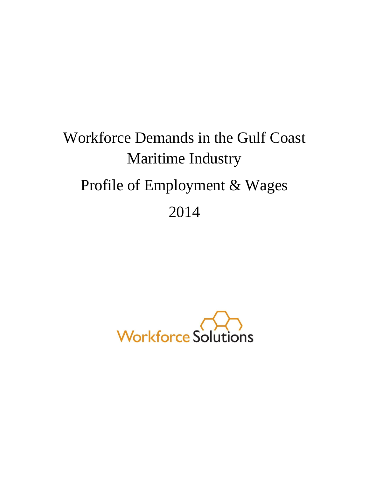# Workforce Demands in the Gulf Coast Maritime Industry Profile of Employment & Wages 2014

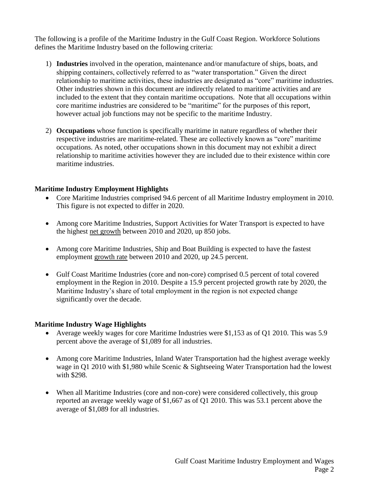The following is a profile of the Maritime Industry in the Gulf Coast Region. Workforce Solutions defines the Maritime Industry based on the following criteria:

- 1) **Industries** involved in the operation, maintenance and/or manufacture of ships, boats, and shipping containers, collectively referred to as "water transportation." Given the direct relationship to maritime activities, these industries are designated as "core" maritime industries. Other industries shown in this document are indirectly related to maritime activities and are included to the extent that they contain maritime occupations. Note that all occupations within core maritime industries are considered to be "maritime" for the purposes of this report, however actual job functions may not be specific to the maritime Industry.
- 2) **Occupations** whose function is specifically maritime in nature regardless of whether their respective industries are maritime-related. These are collectively known as "core" maritime occupations. As noted, other occupations shown in this document may not exhibit a direct relationship to maritime activities however they are included due to their existence within core maritime industries.

### **Maritime Industry Employment Highlights**

- Core Maritime Industries comprised 94.6 percent of all Maritime Industry employment in 2010. This figure is not expected to differ in 2020.
- Among core Maritime Industries, Support Activities for Water Transport is expected to have the highest net growth between 2010 and 2020, up 850 jobs.
- Among core Maritime Industries, Ship and Boat Building is expected to have the fastest employment growth rate between 2010 and 2020, up 24.5 percent.
- Gulf Coast Maritime Industries (core and non-core) comprised 0.5 percent of total covered employment in the Region in 2010. Despite a 15.9 percent projected growth rate by 2020, the Maritime Industry's share of total employment in the region is not expected change significantly over the decade.

### **Maritime Industry Wage Highlights**

- Average weekly wages for core Maritime Industries were \$1,153 as of Q1 2010. This was 5.9 percent above the average of \$1,089 for all industries.
- Among core Maritime Industries, Inland Water Transportation had the highest average weekly wage in Q1 2010 with \$1,980 while Scenic & Sightseeing Water Transportation had the lowest with \$298.
- When all Maritime Industries (core and non-core) were considered collectively, this group reported an average weekly wage of \$1,667 as of Q1 2010. This was 53.1 percent above the average of \$1,089 for all industries.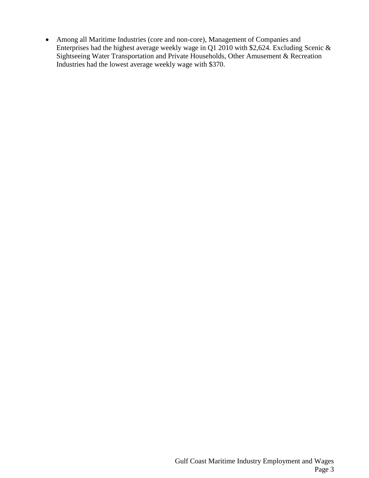Among all Maritime Industries (core and non-core), Management of Companies and Enterprises had the highest average weekly wage in Q1 2010 with \$2,624. Excluding Scenic & Sightseeing Water Transportation and Private Households, Other Amusement & Recreation Industries had the lowest average weekly wage with \$370.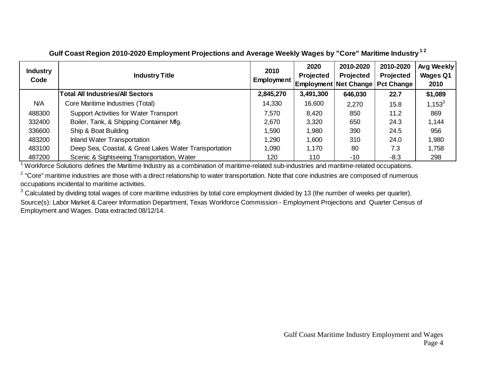| <b>Industry</b><br>Code | <b>Industry Title</b>                                 | 2010<br>Employment | 2020<br><b>Projected</b><br><b>Employment Net Change   Pct Change</b> | 2010-2020<br><b>Projected</b> | 2010-2020<br><b>Projected</b> | Avg Weekly<br><b>Wages Q1</b><br>2010 |
|-------------------------|-------------------------------------------------------|--------------------|-----------------------------------------------------------------------|-------------------------------|-------------------------------|---------------------------------------|
|                         | Total All Industries/All Sectors                      | 2,845,270          | 3,491,300                                                             | 646,030                       | 22.7                          | \$1,089                               |
| N/A                     | Core Maritime Industries (Total)                      | 14,330             | 16,600                                                                | 2,270                         | 15.8                          | $1,153^3$                             |
| 488300                  | <b>Support Activities for Water Transport</b>         | 7,570              | 8,420                                                                 | 850                           | 11.2                          | 869                                   |
| 332400                  | Boiler, Tank, & Shipping Container Mfg.               | 2,670              | 3,320                                                                 | 650                           | 24.3                          | 1,144                                 |
| 336600                  | Ship & Boat Building                                  | 1,590              | 1,980                                                                 | 390                           | 24.5                          | 956                                   |
| 483200                  | Inland Water Transportation                           | 1,290              | 1,600                                                                 | 310                           | 24.0                          | 1,980                                 |
| 483100                  | Deep Sea, Coastal, & Great Lakes Water Transportation | 1,090              | 1,170                                                                 | 80                            | 7.3                           | 1,758                                 |
| 487200                  | Scenic & Sightseeing Transportation, Water            | 120                | 110                                                                   | $-10$                         | $-8.3$                        | 298                                   |

### **Gulf Coast Region 2010-2020 Employment Projections and Average Weekly Wages by "Core" Maritime Industry1 2**

<sup>1</sup> Workforce Solutions defines the Maritime Industry as a combination of maritime-related sub-industries and maritime-related occupations.

 $2$  "Core" maritime industries are those with a direct relationship to water transportation. Note that core industries are composed of numerous occupations incidental to maritime activities.

 $3$  Calculated by dividing total wages of core maritime industries by total core employment divided by 13 (the number of weeks per quarter). Source(s): Labor Market & Career Information Department, Texas Workforce Commission - Employment Projections and Quarter Census of Employment and Wages. Data extracted 08/12/14.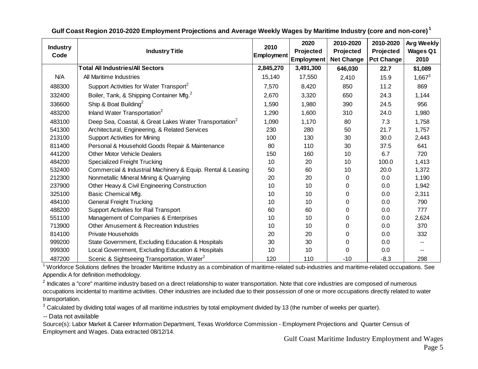| <b>Industry</b><br>Code | <b>Industry Title</b>                                              | 2010<br>Employment | 2020<br>Projected<br>Employment | 2010-2020<br>Projected<br><b>Net Change</b> | 2010-2020<br>Projected<br><b>Pct Change</b> | Avg Weekly<br><b>Wages Q1</b><br>2010 |
|-------------------------|--------------------------------------------------------------------|--------------------|---------------------------------|---------------------------------------------|---------------------------------------------|---------------------------------------|
|                         | <b>Total All Industries/All Sectors</b>                            | 2,845,270          | 3,491,300                       | 646,030                                     | 22.7                                        | \$1,089                               |
| N/A                     | All Maritime Industries                                            | 15,140             | 17,550                          | 2,410                                       | 15.9                                        | $1,667^3$                             |
| 488300                  | Support Activities for Water Transport <sup>2</sup>                | 7,570              | 8,420                           | 850                                         | 11.2                                        | 869                                   |
| 332400                  | Boiler, Tank, & Shipping Container Mfg. <sup>2</sup>               | 2,670              | 3,320                           | 650                                         | 24.3                                        | 1,144                                 |
| 336600                  | Ship & Boat Building <sup>2</sup>                                  | 1,590              | 1,980                           | 390                                         | 24.5                                        | 956                                   |
| 483200                  | Inland Water Transportation <sup>2</sup>                           | 1,290              | 1,600                           | 310                                         | 24.0                                        | 1,980                                 |
| 483100                  | Deep Sea, Coastal, & Great Lakes Water Transportation <sup>2</sup> | 1,090              | 1,170                           | 80                                          | 7.3                                         | 1,758                                 |
| 541300                  | Architectural, Engineering, & Related Services                     | 230                | 280                             | 50                                          | 21.7                                        | 1,757                                 |
| 213100                  | <b>Support Activities for Mining</b>                               | 100                | 130                             | 30                                          | 30.0                                        | 2,443                                 |
| 811400                  | Personal & Household Goods Repair & Maintenance                    | 80                 | 110                             | 30                                          | 37.5                                        | 641                                   |
| 441200                  | <b>Other Motor Vehicle Dealers</b>                                 | 150                | 160                             | 10                                          | 6.7                                         | 720                                   |
| 484200                  | <b>Specialized Freight Trucking</b>                                | 10                 | 20                              | 10                                          | 100.0                                       | 1,413                                 |
| 532400                  | Commercial & Industrial Machinery & Equip. Rental & Leasing        | 50                 | 60                              | 10                                          | 20.0                                        | 1,372                                 |
| 212300                  | Nonmetallic Mineral Mining & Quarrying                             | 20                 | 20                              | 0                                           | 0.0                                         | 1,190                                 |
| 237900                  | Other Heavy & Civil Engineering Construction                       | 10                 | 10                              | 0                                           | $0.0\,$                                     | 1,942                                 |
| 325100                  | Basic Chemical Mfg.                                                | 10                 | 10                              | 0                                           | 0.0                                         | 2,311                                 |
| 484100                  | <b>General Freight Trucking</b>                                    | 10                 | 10                              | 0                                           | 0.0                                         | 790                                   |
| 488200                  | <b>Support Activities for Rail Transport</b>                       | 60                 | 60                              | 0                                           | 0.0                                         | 777                                   |
| 551100                  | Management of Companies & Enterprises                              | 10                 | 10                              | 0                                           | 0.0                                         | 2,624                                 |
| 713900                  | Other Amusement & Recreation Industries                            | 10                 | 10                              | 0                                           | 0.0                                         | 370                                   |
| 814100                  | <b>Private Households</b>                                          | 20                 | 20                              | 0                                           | 0.0                                         | 332                                   |
| 999200                  | State Government, Excluding Education & Hospitals                  | 30                 | 30                              | 0                                           | 0.0                                         |                                       |
| 999300                  | Local Government, Excluding Education & Hospitals                  | 10                 | 10                              | 0                                           | 0.0                                         | --                                    |
| 487200                  | Scenic & Sightseeing Transportation, Water <sup>2</sup>            | 120                | 110                             | $-10$                                       | $-8.3$                                      | 298                                   |

**Gulf Coast Region 2010-2020 Employment Projections and Average Weekly Wages by Maritime Industry (core and non-core) <sup>1</sup>**

 $1$  Workforce Solutions defines the broader Maritime Industry as a combination of maritime-related sub-industries and maritime-related occupations. See Appendix A for definition methodology.

 $^2$  Indicates a "core" maritime industry based on a direct relationship to water transportation. Note that core industries are composed of numerous occupations incidental to maritime activities. Other industries are included due to their possession of one or more occupations directly related to water transportation.

 $3$  Calculated by dividing total wages of all maritime industries by total employment divided by 13 (the number of weeks per quarter).

-- Data not available

Source(s): Labor Market & Career Information Department, Texas Workforce Commission - Employment Projections and Quarter Census of Employment and Wages. Data extracted 08/12/14.

Gulf Coast Maritime Industry Employment and Wages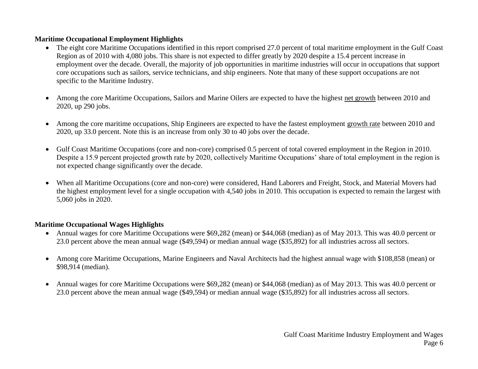### **Maritime Occupational Employment Highlights**

- The eight core Maritime Occupations identified in this report comprised 27.0 percent of total maritime employment in the Gulf Coast Region as of 2010 with 4,080 jobs. This share is not expected to differ greatly by 2020 despite a 15.4 percent increase in employment over the decade. Overall, the majority of job opportunities in maritime industries will occur in occupations that support core occupations such as sailors, service technicians, and ship engineers. Note that many of these support occupations are not specific to the Maritime Industry.
- Among the core Maritime Occupations, Sailors and Marine Oilers are expected to have the highest net growth between 2010 and 2020, up 290 jobs.
- Among the core maritime occupations, Ship Engineers are expected to have the fastest employment growth rate between 2010 and 2020, up 33.0 percent. Note this is an increase from only 30 to 40 jobs over the decade.
- Gulf Coast Maritime Occupations (core and non-core) comprised 0.5 percent of total covered employment in the Region in 2010. Despite a 15.9 percent projected growth rate by 2020, collectively Maritime Occupations' share of total employment in the region is not expected change significantly over the decade.
- When all Maritime Occupations (core and non-core) were considered, Hand Laborers and Freight, Stock, and Material Movers had the highest employment level for a single occupation with 4,540 jobs in 2010. This occupation is expected to remain the largest with 5,060 jobs in 2020.

### **Maritime Occupational Wages Highlights**

- Annual wages for core Maritime Occupations were \$69,282 (mean) or \$44,068 (median) as of May 2013. This was 40.0 percent or 23.0 percent above the mean annual wage (\$49,594) or median annual wage (\$35,892) for all industries across all sectors.
- Among core Maritime Occupations, Marine Engineers and Naval Architects had the highest annual wage with \$108,858 (mean) or \$98,914 (median).
- Annual wages for core Maritime Occupations were \$69,282 (mean) or \$44,068 (median) as of May 2013. This was 40.0 percent or 23.0 percent above the mean annual wage (\$49,594) or median annual wage (\$35,892) for all industries across all sectors.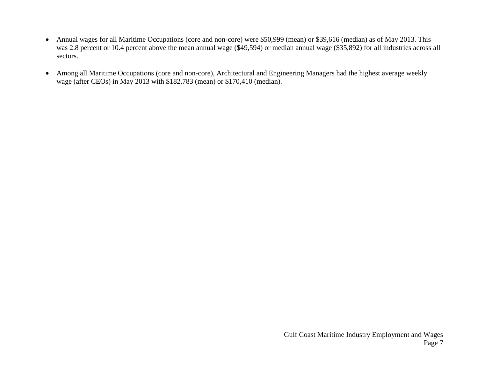- Annual wages for all Maritime Occupations (core and non-core) were \$50,999 (mean) or \$39,616 (median) as of May 2013. This was 2.8 percent or 10.4 percent above the mean annual wage (\$49,594) or median annual wage (\$35,892) for all industries across all sectors.
- Among all Maritime Occupations (core and non-core), Architectural and Engineering Managers had the highest average weekly wage (after CEOs) in May 2013 with \$182,783 (mean) or \$170,410 (median).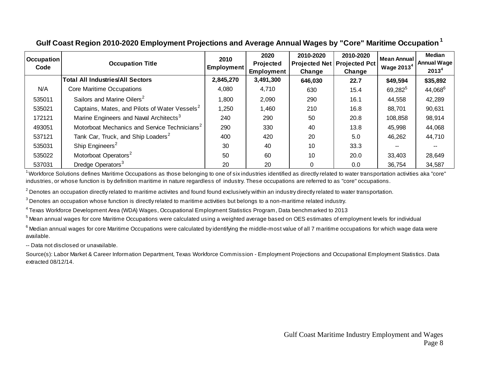| <b>Occupation</b><br>Code | <b>Occupation Title</b>                                   | 2010<br><b>Employment</b> | 2020<br><b>Projected</b><br><b>Employment</b> | 2010-2020<br><b>Projected Net   Projected Pct</b><br>Change | 2010-2020<br>Change | Mean Annual<br>Wage $20134$ | Median<br><b>Annual Wage</b><br>2013 <sup>4</sup> |
|---------------------------|-----------------------------------------------------------|---------------------------|-----------------------------------------------|-------------------------------------------------------------|---------------------|-----------------------------|---------------------------------------------------|
|                           | <b>Total All Industries/All Sectors</b>                   | 2,845,270                 | 3,491,300                                     | 646,030                                                     | 22.7                | \$49,594                    | \$35,892                                          |
| N/A                       | Core Maritime Occupations                                 | 4,080                     | 4,710                                         | 630                                                         | 15.4                | $69,282^5$                  | 44,068 <sup>6</sup>                               |
| 535011                    | Sailors and Marine Oilers <sup>2</sup>                    | 1,800                     | 2,090                                         | 290                                                         | 16.1                | 44,558                      | 42,289                                            |
| 535021                    | Captains, Mates, and Pilots of Water Vessels <sup>2</sup> | 1,250                     | 1,460                                         | 210                                                         | 16.8                | 88,701                      | 90,631                                            |
| 172121                    | Marine Engineers and Naval Architects <sup>3</sup>        | 240                       | 290                                           | 50                                                          | 20.8                | 108,858                     | 98,914                                            |
| 493051                    | Motorboat Mechanics and Service Technicians <sup>2</sup>  | 290                       | 330                                           | 40                                                          | 13.8                | 45,998                      | 44,068                                            |
| 537121                    | Tank Car, Truck, and Ship Loaders <sup>2</sup>            | 400                       | 420                                           | 20                                                          | 5.0                 | 46,262                      | 44,710                                            |
| 535031                    | Ship Engineers <sup>2</sup>                               | 30                        | 40                                            | 10                                                          | 33.3                |                             |                                                   |
| 535022                    | Motorboat Operators <sup>2</sup>                          | 50                        | 60                                            | 10                                                          | 20.0                | 33,403                      | 28,649                                            |
| 537031                    | Dredge Operators <sup>3</sup>                             | 20                        | 20                                            |                                                             | 0.0                 | 36,754                      | 34,587                                            |

### **Gulf Coast Region 2010-2020 Employment Projections and Average Annual Wages by "Core" Maritime Occupation<sup>1</sup>**

<sup>1</sup> Workforce Solutions defines Maritime Occupations as those belonging to one of six industries identified as directly related to water transportation activities aka "core" industries, or whose function is by definition maritime in nature regardless of industry. These occupations are referred to as "core" occupations.

 $^2$  Denotes an occupation directly related to maritime activites and found found exclusively within an industry directly related to water transportation.

 $^3$  Denotes an occupation whose function is directly related to maritime activities but belongs to a non-maritime related industry.

4 Texas Workforce Development Area (WDA) Wages, Occupational Employment Statistics Program, Data benchmarked to 2013

 $^5$ Mean annual wages for core Maritime Occupations were calculated using a weighted average based on OES estimates of employment levels for individual

 $^6$  Median annual wages for core Maritime Occupations were calculated by identifying the middle-most value of all 7 maritime occupations for which wage data were available.

-- Data not disclosed or unavailable.

Source(s): Labor Market & Career Information Department, Texas Workforce Commission - Employment Projections and Occupational Employment Statistics. Data extracted 08/12/14.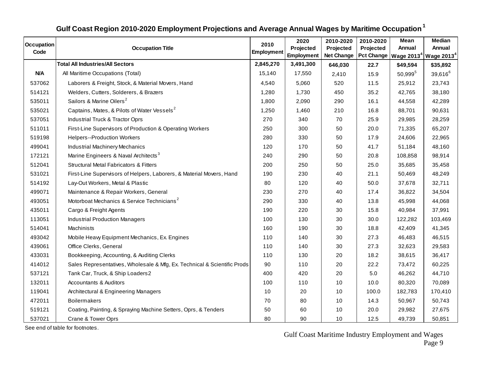| <b>Occupation</b> | <b>Occupation Title</b>                                                  | 2010<br>Employment | 2020<br>Projected | 2010-2020<br>Projected | 2010-2020<br>Projected | Mean<br>Annual | Median<br>Annual                              |
|-------------------|--------------------------------------------------------------------------|--------------------|-------------------|------------------------|------------------------|----------------|-----------------------------------------------|
| Code              |                                                                          |                    | Employment        | <b>Net Change</b>      | <b>Pct Change</b>      |                | Wage 2013 <sup>4</sup> Wage 2013 <sup>4</sup> |
|                   | <b>Total All Industries/All Sectors</b>                                  | 2,845,270          | 3,491,300         | 646,030                | 22.7                   | \$49,594       | \$35,892                                      |
| <b>N/A</b>        | All Maritime Occupations (Total)                                         | 15,140             | 17,550            | 2,410                  | 15.9                   | $50,999^{5}$   | $39,616^6$                                    |
| 537062            | Laborers & Freight, Stock, & Material Movers, Hand                       | 4,540              | 5,060             | 520                    | 11.5                   | 25,912         | 23,743                                        |
| 514121            | Welders, Cutters, Solderers, & Brazers                                   | 1,280              | 1,730             | 450                    | 35.2                   | 42,765         | 38,180                                        |
| 535011            | Sailors & Marine Oilers <sup>2</sup>                                     | 1,800              | 2,090             | 290                    | 16.1                   | 44,558         | 42,289                                        |
| 535021            | Captains, Mates, & Pilots of Water Vessels <sup>2</sup>                  | 1,250              | 1,460             | 210                    | 16.8                   | 88,701         | 90,631                                        |
| 537051            | Industrial Truck & Tractor Oprs                                          | 270                | 340               | 70                     | 25.9                   | 29,985         | 28,259                                        |
| 511011            | First-Line Supervisors of Production & Operating Workers                 | 250                | 300               | 50                     | 20.0                   | 71,335         | 65,207                                        |
| 519198            | <b>Helpers--Production Workers</b>                                       | 280                | 330               | 50                     | 17.9                   | 24,606         | 22,965                                        |
| 499041            | Industrial Machinery Mechanics                                           | 120                | 170               | 50                     | 41.7                   | 51,184         | 48,160                                        |
| 172121            | Marine Engineers & Naval Architects <sup>3</sup>                         | 240                | 290               | 50                     | 20.8                   | 108,858        | 98,914                                        |
| 512041            | <b>Structural Metal Fabricators &amp; Fitters</b>                        | 200                | 250               | 50                     | 25.0                   | 35,685         | 35,458                                        |
| 531021            | First-Line Supervisors of Helpers, Laborers, & Material Movers, Hand     | 190                | 230               | 40                     | 21.1                   | 50,469         | 48,249                                        |
| 514192            | Lay-Out Workers, Metal & Plastic                                         | 80                 | 120               | 40                     | 50.0                   | 37,678         | 32,711                                        |
| 499071            | Maintenance & Repair Workers, General                                    | 230                | 270               | 40                     | 17.4                   | 36,822         | 34,504                                        |
| 493051            | Motorboat Mechanics & Service Technicians <sup>2</sup>                   | 290                | 330               | 40                     | 13.8                   | 45,998         | 44,068                                        |
| 435011            | Cargo & Freight Agents                                                   | 190                | 220               | 30                     | 15.8                   | 40,984         | 37,991                                        |
| 113051            | <b>Industrial Production Managers</b>                                    | 100                | 130               | 30                     | 30.0                   | 122,282        | 103,469                                       |
| 514041            | Machinists                                                               | 160                | 190               | 30                     | 18.8                   | 42,409         | 41,345                                        |
| 493042            | Mobile Heavy Equipment Mechanics, Ex. Engines                            | 110                | 140               | 30                     | 27.3                   | 46,483         | 46,515                                        |
| 439061            | Office Clerks, General                                                   | 110                | 140               | 30                     | 27.3                   | 32,623         | 29,583                                        |
| 433031            | Bookkeeping, Accounting, & Auditing Clerks                               | 110                | 130               | 20                     | 18.2                   | 38,615         | 36,417                                        |
| 414012            | Sales Representatives, Wholesale & Mfg, Ex. Technical & Scientific Prods | 90                 | 110               | 20                     | 22.2                   | 73,472         | 60,225                                        |
| 537121            | Tank Car, Truck, & Ship Loaders2                                         | 400                | 420               | 20                     | 5.0                    | 46,262         | 44,710                                        |
| 132011            | <b>Accountants &amp; Auditors</b>                                        | 100                | 110               | 10                     | 10.0                   | 80,320         | 70,089                                        |
| 119041            | Architectural & Engineering Managers                                     | 10                 | 20                | 10                     | 100.0                  | 182,783        | 170,410                                       |
| 472011            | <b>Boilermakers</b>                                                      | 70                 | 80                | 10                     | 14.3                   | 50,967         | 50,743                                        |
| 519121            | Coating, Painting, & Spraying Machine Setters, Oprs, & Tenders           | 50                 | 60                | 10                     | 20.0                   | 29,982         | 27,675                                        |
| 537021            | Crane & Tower Oprs                                                       | 80                 | 90                | 10                     | 12.5                   | 49,739         | 50,851                                        |
|                   | See end of table for footnotes.                                          |                    |                   |                        |                        |                |                                               |

## **Gulf Coast Region 2010-2020 Employment Projections and Average Annual Wages by Maritime Occupation<sup>1</sup>**

Gulf Coast Maritime Industry Employment and Wages Page 9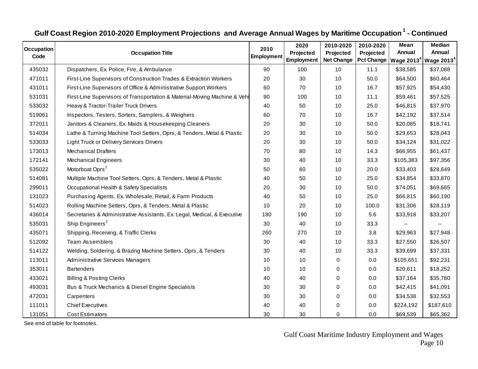| Gulf Coast Region 2010-2020 Employment Projections and Average Annual Wages by Maritime Occupation <sup>1</sup> - Continued |                                                                           |            |            |                   |           |                                                              |           |  |  |
|-----------------------------------------------------------------------------------------------------------------------------|---------------------------------------------------------------------------|------------|------------|-------------------|-----------|--------------------------------------------------------------|-----------|--|--|
| <b>Occupation</b>                                                                                                           |                                                                           | 2010       | 2020       | 2010-2020         | 2010-2020 | Mean                                                         | Median    |  |  |
| Code                                                                                                                        | <b>Occupation Title</b>                                                   | Employment | Projected  | Projected         | Projected | Annual                                                       | Annual    |  |  |
|                                                                                                                             |                                                                           |            | Employment | <b>Net Change</b> |           | Pct Change   Wage 2013 <sup>4</sup>   Wage 2013 <sup>4</sup> |           |  |  |
| 435032                                                                                                                      | Dispatchers, Ex. Police, Fire, & Ambulance                                | 90         | 100        | 10                | 11.1      | \$38,585                                                     | \$37,088  |  |  |
| 471011                                                                                                                      | First-Line Supervisors of Construction Trades & Extraction Workers        | 20         | 30         | 10                | 50.0      | \$64,500                                                     | \$60,464  |  |  |
| 431011                                                                                                                      | First-Line Supervisors of Office & Administrative Support Workers         | 60         | 70         | 10                | 16.7      | \$57,925                                                     | \$54,430  |  |  |
| 531031                                                                                                                      | First-Line Supervisors of Transportation & Material-Moving Machine & Vehi | 90         | 100        | 10                | 11.1      | \$59,461                                                     | \$57,525  |  |  |
| 533032                                                                                                                      | Heavy & Tractor-Trailer Truck Drivers                                     | 40         | 50         | 10                | 25.0      | \$46,815                                                     | \$37,970  |  |  |
| 519061                                                                                                                      | Inspectors, Testers, Sorters, Samplers, & Weighers                        | 60         | 70         | 10                | 16.7      | \$42,192                                                     | \$37,514  |  |  |
| 372011                                                                                                                      | Janitors & Cleaners, Ex. Maids & Housekeeping Cleaners                    | 20         | 30         | 10                | 50.0      | \$20,085                                                     | \$18,741  |  |  |
| 514034                                                                                                                      | Lathe & Turning Machine Tool Setters, Oprs, & Tenders, Metal & Plastic    | 20         | 30         | 10                | 50.0      | \$29,653                                                     | \$28,043  |  |  |
| 533033                                                                                                                      | <b>Light Truck or Delivery Services Drivers</b>                           | 20         | 30         | 10                | 50.0      | \$34,124                                                     | \$31,022  |  |  |
| 173013                                                                                                                      | <b>Mechanical Drafters</b>                                                | 70         | 80         | 10                | 14.3      | \$66,955                                                     | \$61,437  |  |  |
| 172141                                                                                                                      | <b>Mechanical Engineers</b>                                               | 30         | 40         | 10                | 33.3      | \$105,383                                                    | \$97,356  |  |  |
| 535022                                                                                                                      | Motorboat Oprs <sup>2</sup>                                               | 50         | 60         | 10                | 20.0      | \$33,403                                                     | \$28,649  |  |  |
| 514081                                                                                                                      | Multiple Machine Tool Setters, Oprs, & Tenders, Metal & Plastic           | 40         | 50         | 10                | 25.0      | \$34,854                                                     | \$33,870  |  |  |
| 299011                                                                                                                      | Occupational Health & Safety Specialists                                  | 20         | 30         | 10                | 50.0      | \$74,051                                                     | \$69,665  |  |  |
| 131023                                                                                                                      | Purchasing Agents, Ex. Wholesale, Retail, & Farm Products                 | 40         | 50         | 10                | 25.0      | \$66,815                                                     | \$60,190  |  |  |
| 514023                                                                                                                      | Rolling Machine Setters, Oprs, & Tenders, Metal & Plastic                 | 10         | 20         | 10                | 100.0     | \$31,306                                                     | \$28,119  |  |  |
| 436014                                                                                                                      | Secretaries & Administrative Assistants, Ex. Legal, Medical, & Executive  | 180        | 190        | 10                | 5.6       | \$33,918                                                     | \$33,207  |  |  |
| 535031                                                                                                                      | Ship Engineers <sup>2</sup>                                               | 30         | 40         | 10                | 33.3      |                                                              |           |  |  |
| 435071                                                                                                                      | Shipping, Receiving, & Traffic Clerks                                     | 260        | 270        | 10                | 3.8       | \$29,963                                                     | \$27,948  |  |  |
| 512092                                                                                                                      | <b>Team Assemblers</b>                                                    | 30         | 40         | 10                | 33.3      | \$27,550                                                     | \$26,507  |  |  |
| 514122                                                                                                                      | Welding, Soldering, & Brazing Machine Setters, Oprs, & Tenders            | 30         | 40         | 10                | 33.3      | \$39,699                                                     | \$37,331  |  |  |
| 113011                                                                                                                      | Administrative Services Managers                                          | 10         | 10         | 0                 | 0.0       | \$105,651                                                    | \$92,231  |  |  |
| 353011                                                                                                                      | <b>Bartenders</b>                                                         | 10         | 10         | 0                 | 0.0       | \$20,611                                                     | \$18,252  |  |  |
| 433021                                                                                                                      | <b>Billing &amp; Posting Clerks</b>                                       | 40         | 40         | 0                 | 0.0       | \$37,164                                                     | \$35,780  |  |  |
| 493031                                                                                                                      | Bus & Truck Mechanics & Diesel Engine Specialists                         | 30         | 30         | $\pmb{0}$         | 0.0       | \$42,415                                                     | \$41,091  |  |  |
| 472031                                                                                                                      | Carpenters                                                                | 30         | 30         | 0                 | 0.0       | \$34,538                                                     | \$32,553  |  |  |
| 111011                                                                                                                      | <b>Chief Executives</b>                                                   | 40         | 40         | 0                 | 0.0       | \$224,192                                                    | \$187,610 |  |  |
| 131051                                                                                                                      | <b>Cost Estimators</b>                                                    | 30         | 30         | $\Omega$          | 0.0       | \$69,539                                                     | \$65,362  |  |  |
|                                                                                                                             | See end of table for footnotes.                                           |            |            |                   |           |                                                              |           |  |  |

Gulf Coast Maritime Industry Employment and Wages Page 10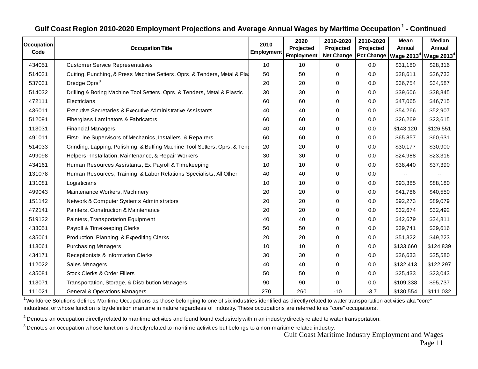| Gulf Coast Region 2010-2020 Employment Projections and Average Annual Wages by Maritime Occupation <sup>1</sup> - Continued |                                                                            |                           |                                 |                                             |                                                  |                |                                                |  |  |
|-----------------------------------------------------------------------------------------------------------------------------|----------------------------------------------------------------------------|---------------------------|---------------------------------|---------------------------------------------|--------------------------------------------------|----------------|------------------------------------------------|--|--|
| <b>Occupation</b><br>Code                                                                                                   | <b>Occupation Title</b>                                                    | 2010<br><b>Employment</b> | 2020<br>Projected<br>Employment | 2010-2020<br>Projected<br><b>Net Change</b> | 2010-2020<br>Projected<br>Pct Change   Wage 2013 | Mean<br>Annual | <b>Median</b><br>Annual<br>$^4$ Wage 2013 $^4$ |  |  |
| 434051                                                                                                                      | <b>Customer Service Representatives</b>                                    | 10                        | 10                              | $\mathbf 0$                                 | 0.0                                              | \$31,180       | \$28,316                                       |  |  |
| 514031                                                                                                                      | Cutting, Punching, & Press Machine Setters, Oprs, & Tenders, Metal & Pla   | 50                        | 50                              | 0                                           | 0.0                                              | \$28,611       | \$26,733                                       |  |  |
| 537031                                                                                                                      | Dredge Oprs <sup>3</sup>                                                   | 20                        | 20                              | 0                                           | 0.0                                              | \$36,754       | \$34,587                                       |  |  |
| 514032                                                                                                                      | Drilling & Boring Machine Tool Setters, Oprs, & Tenders, Metal & Plastic   | 30                        | 30                              | 0                                           | 0.0                                              | \$39,606       | \$38,845                                       |  |  |
| 472111                                                                                                                      | Electricians                                                               | 60                        | 60                              | 0                                           | 0.0                                              | \$47,065       | \$46,715                                       |  |  |
| 436011                                                                                                                      | Executive Secretaries & Executive Administrative Assistants                | 40                        | 40                              | 0                                           | 0.0                                              | \$54,266       | \$52,907                                       |  |  |
| 512091                                                                                                                      | Fiberglass Laminators & Fabricators                                        | 60                        | 60                              | 0                                           | 0.0                                              | \$26,269       | \$23,615                                       |  |  |
| 113031                                                                                                                      | <b>Financial Managers</b>                                                  | 40                        | 40                              | 0                                           | 0.0                                              | \$143,120      | \$126,551                                      |  |  |
| 491011                                                                                                                      | First-Line Supervisors of Mechanics, Installers, & Repairers               | 60                        | 60                              | 0                                           | 0.0                                              | \$65,857       | \$60,631                                       |  |  |
| 514033                                                                                                                      | Grinding, Lapping, Polishing, & Buffing Machine Tool Setters, Oprs, & Tend | 20                        | 20                              | 0                                           | 0.0                                              | \$30,177       | \$30,900                                       |  |  |
| 499098                                                                                                                      | Helpers--Installation, Maintenance, & Repair Workers                       | 30                        | 30                              | $\Omega$                                    | 0.0                                              | \$24,988       | \$23,316                                       |  |  |
| 434161                                                                                                                      | Human Resources Assistants, Ex. Payroll & Timekeeping                      | 10                        | 10                              | 0                                           | 0.0                                              | \$38,440       | \$37,390                                       |  |  |
| 131078                                                                                                                      | Human Resources, Training, & Labor Relations Specialists, All Other        | 40                        | 40                              | 0                                           | 0.0                                              |                |                                                |  |  |
| 131081                                                                                                                      | Logisticians                                                               | 10                        | 10                              | 0                                           | 0.0                                              | \$93,385       | \$88,180                                       |  |  |
| 499043                                                                                                                      | Maintenance Workers, Machinery                                             | 20                        | 20                              | 0                                           | 0.0                                              | \$41,786       | \$40,550                                       |  |  |
| 151142                                                                                                                      | Network & Computer Systems Administrators                                  | 20                        | 20                              | 0                                           | 0.0                                              | \$92,273       | \$89,079                                       |  |  |
| 472141                                                                                                                      | Painters, Construction & Maintenance                                       | 20                        | 20                              | 0                                           | 0.0                                              | \$32,674       | \$32,492                                       |  |  |
| 519122                                                                                                                      | Painters, Transportation Equipment                                         | 40                        | 40                              | 0                                           | 0.0                                              | \$42,679       | \$34,811                                       |  |  |
| 433051                                                                                                                      | Payroll & Timekeeping Clerks                                               | 50                        | 50                              | 0                                           | 0.0                                              | \$39,741       | \$39,616                                       |  |  |
| 435061                                                                                                                      | Production, Planning, & Expediting Clerks                                  | 20                        | 20                              | 0                                           | 0.0                                              | \$51,322       | \$49,223                                       |  |  |
| 113061                                                                                                                      | <b>Purchasing Managers</b>                                                 | 10                        | 10                              | 0                                           | 0.0                                              | \$133,660      | \$124,839                                      |  |  |
| 434171                                                                                                                      | Receptionists & Information Clerks                                         | 30                        | 30                              | 0                                           | 0.0                                              | \$26,633       | \$25,580                                       |  |  |
| 112022                                                                                                                      | Sales Managers                                                             | 40                        | 40                              | 0                                           | 0.0                                              | \$132,413      | \$122,297                                      |  |  |
| 435081                                                                                                                      | Stock Clerks & Order Fillers                                               | 50                        | 50                              | 0                                           | 0.0                                              | \$25,433       | \$23,043                                       |  |  |
| 113071                                                                                                                      | Transportation, Storage, & Distribution Managers                           | 90                        | 90                              | 0                                           | 0.0                                              | \$109,338      | \$95,737                                       |  |  |
| 111021                                                                                                                      | <b>General &amp; Operations Managers</b>                                   | 270                       | 260                             | $-10$                                       | $-3.7$                                           | \$130,554      | \$111,032                                      |  |  |

<sup>1</sup> Workforce Solutions defines Maritime Occupations as those belonging to one of six industries identified as directly related to water transportation activities aka "core" industries, or whose function is by definition maritime in nature regardless of industry. These occupations are referred to as "core" occupations.

 $^{\rm 2}$  Denotes an occupation directly related to maritime activites and found found exclusively within an industry directly related to water transportation.

 $^3$  Denotes an occupation whose function is directly related to maritime activities but belongs to a non-maritime related industry.

Gulf Coast Maritime Industry Employment and Wages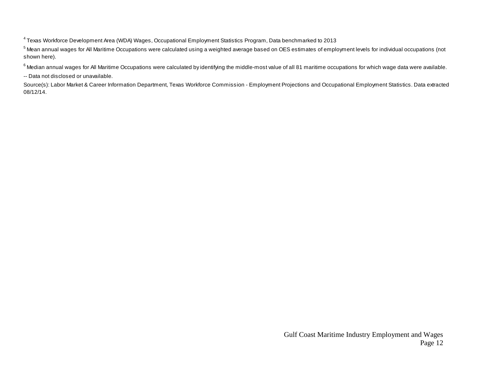<sup>4</sup> Texas Workforce Development Area (WDA) Wages, Occupational Employment Statistics Program, Data benchmarked to 2013

<sup>5</sup> Mean annual wages for All Maritime Occupations were calculated using a weighted average based on OES estimates of employment levels for individual occupations (not shown here).

 $^6$  Median annual wages for All Maritime Occupations were calculated by identifying the middle-most value of all 81 maritime occupations for which wage data were available.

-- Data not disclosed or unavailable.

Source(s): Labor Market & Career Information Department, Texas Workforce Commission - Employment Projections and Occupational Employment Statistics. Data extracted 08/12/14.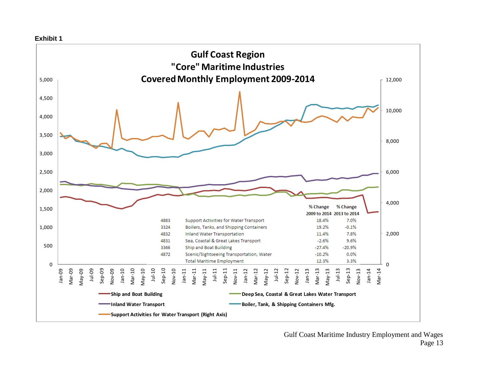

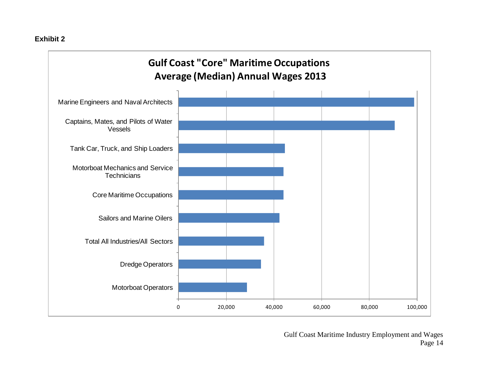### **Exhibit 2**

# **Gulf Coast "Core" Maritime Occupations Average (Median) Annual Wages 2013**



Gulf Coast Maritime Industry Employment and Wages Page 14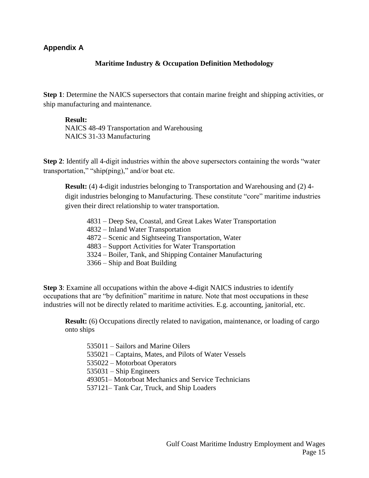### **Appendix A**

### **Maritime Industry & Occupation Definition Methodology**

**Step 1**: Determine the NAICS supersectors that contain marine freight and shipping activities, or ship manufacturing and maintenance.

### **Result:**

NAICS 48-49 Transportation and Warehousing NAICS 31-33 Manufacturing

**Step 2**: Identify all 4-digit industries within the above supersectors containing the words "water transportation," "ship(ping)," and/or boat etc.

**Result:** (4) 4-digit industries belonging to Transportation and Warehousing and (2) 4 digit industries belonging to Manufacturing. These constitute "core" maritime industries given their direct relationship to water transportation.

- 4831 Deep Sea, Coastal, and Great Lakes Water Transportation
- 4832 Inland Water Transportation
- 4872 Scenic and Sightseeing Transportation, Water
- 4883 Support Activities for Water Transportation
- 3324 Boiler, Tank, and Shipping Container Manufacturing
- 3366 Ship and Boat Building

**Step 3**: Examine all occupations within the above 4-digit NAICS industries to identify occupations that are "by definition" maritime in nature. Note that most occupations in these industries will not be directly related to maritime activities. E.g. accounting, janitorial, etc.

**Result:** (6) Occupations directly related to navigation, maintenance, or loading of cargo onto ships

535011 – Sailors and Marine Oilers 535021 – Captains, Mates, and Pilots of Water Vessels 535022 – Motorboat Operators 535031 – Ship Engineers 493051– Motorboat Mechanics and Service Technicians 537121– Tank Car, Truck, and Ship Loaders